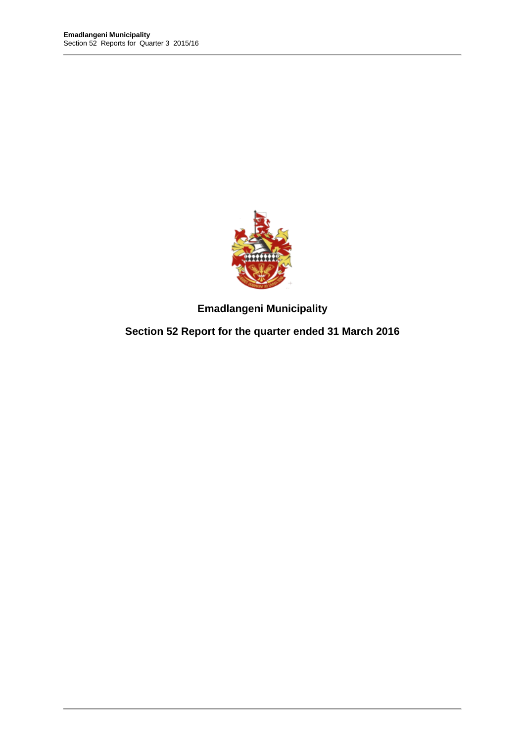

**Emadlangeni Municipality** 

**Section 52 Report for the quarter ended 31 March 2016**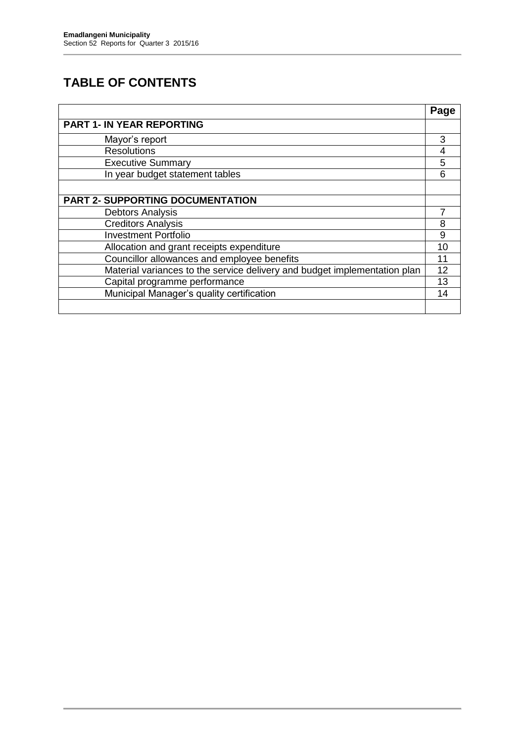# **TABLE OF CONTENTS**

|                                                                           | Page |
|---------------------------------------------------------------------------|------|
| <b>PART 1- IN YEAR REPORTING</b>                                          |      |
| Mayor's report                                                            | 3    |
| <b>Resolutions</b>                                                        | 4    |
| <b>Executive Summary</b>                                                  | 5    |
| In year budget statement tables                                           | 6    |
|                                                                           |      |
| <b>PART 2- SUPPORTING DOCUMENTATION</b>                                   |      |
| <b>Debtors Analysis</b>                                                   |      |
| <b>Creditors Analysis</b>                                                 | 8    |
| <b>Investment Portfolio</b>                                               | 9    |
| Allocation and grant receipts expenditure                                 | 10   |
| Councillor allowances and employee benefits                               | 11   |
| Material variances to the service delivery and budget implementation plan | 12   |
| Capital programme performance                                             | 13   |
| Municipal Manager's quality certification                                 | 14   |
|                                                                           |      |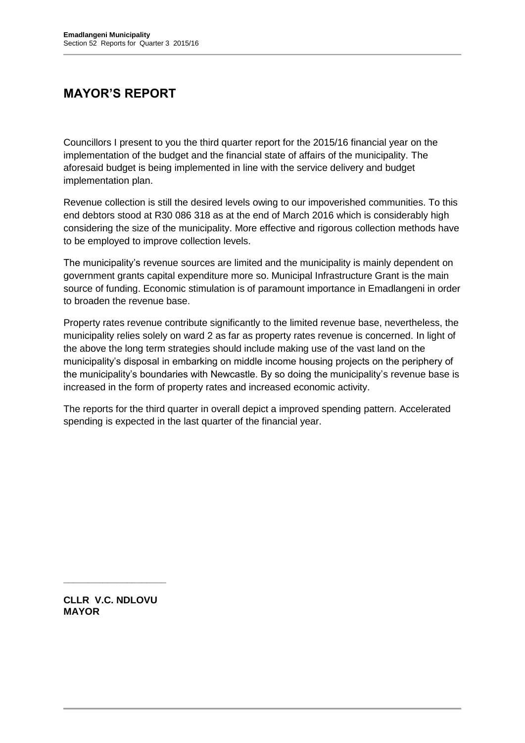# **MAYOR'S REPORT**

Councillors I present to you the third quarter report for the 2015/16 financial year on the implementation of the budget and the financial state of affairs of the municipality. The aforesaid budget is being implemented in line with the service delivery and budget implementation plan.

Revenue collection is still the desired levels owing to our impoverished communities. To this end debtors stood at R30 086 318 as at the end of March 2016 which is considerably high considering the size of the municipality. More effective and rigorous collection methods have to be employed to improve collection levels.

The municipality's revenue sources are limited and the municipality is mainly dependent on government grants capital expenditure more so. Municipal Infrastructure Grant is the main source of funding. Economic stimulation is of paramount importance in Emadlangeni in order to broaden the revenue base.

Property rates revenue contribute significantly to the limited revenue base, nevertheless, the municipality relies solely on ward 2 as far as property rates revenue is concerned. In light of the above the long term strategies should include making use of the vast land on the municipality's disposal in embarking on middle income housing projects on the periphery of the municipality's boundaries with Newcastle. By so doing the municipality's revenue base is increased in the form of property rates and increased economic activity.

The reports for the third quarter in overall depict a improved spending pattern. Accelerated spending is expected in the last quarter of the financial year.

**CLLR V.C. NDLOVU MAYOR**

**\_\_\_\_\_\_\_\_\_\_\_\_\_\_\_\_\_\_\_\_\_**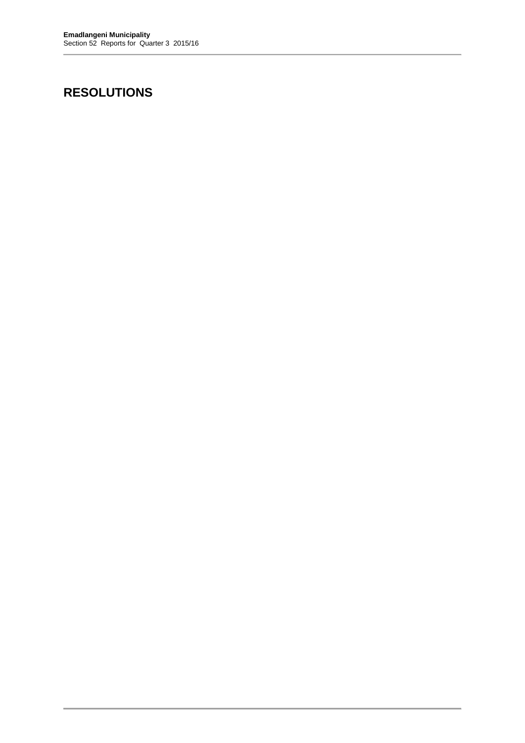# **RESOLUTIONS**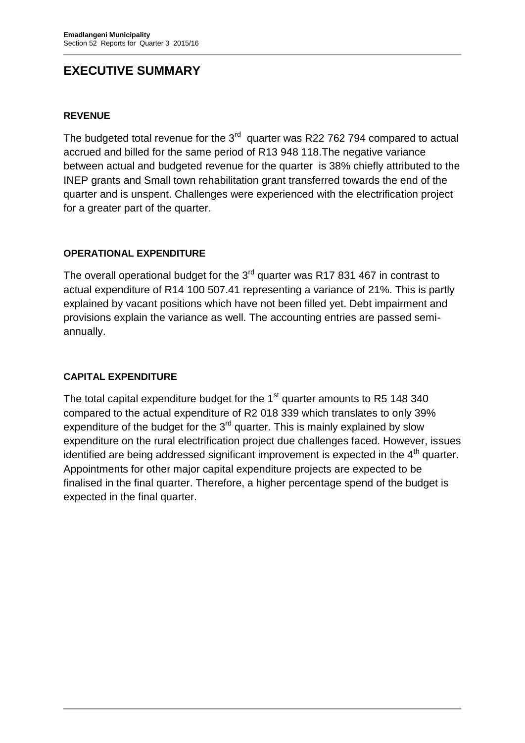# **EXECUTIVE SUMMARY**

### **REVENUE**

The budgeted total revenue for the  $3<sup>rd</sup>$  quarter was R22 762 794 compared to actual accrued and billed for the same period of R13 948 118.The negative variance between actual and budgeted revenue for the quarter is 38% chiefly attributed to the INEP grants and Small town rehabilitation grant transferred towards the end of the quarter and is unspent. Challenges were experienced with the electrification project for a greater part of the quarter.

### **OPERATIONAL EXPENDITURE**

The overall operational budget for the 3<sup>rd</sup> quarter was R17 831 467 in contrast to actual expenditure of R14 100 507.41 representing a variance of 21%. This is partly explained by vacant positions which have not been filled yet. Debt impairment and provisions explain the variance as well. The accounting entries are passed semiannually.

### **CAPITAL EXPENDITURE**

The total capital expenditure budget for the  $1<sup>st</sup>$  quarter amounts to R5 148 340 compared to the actual expenditure of R2 018 339 which translates to only 39% expenditure of the budget for the 3<sup>rd</sup> quarter. This is mainly explained by slow expenditure on the rural electrification project due challenges faced. However, issues identified are being addressed significant improvement is expected in the  $4<sup>th</sup>$  quarter. Appointments for other major capital expenditure projects are expected to be finalised in the final quarter. Therefore, a higher percentage spend of the budget is expected in the final quarter.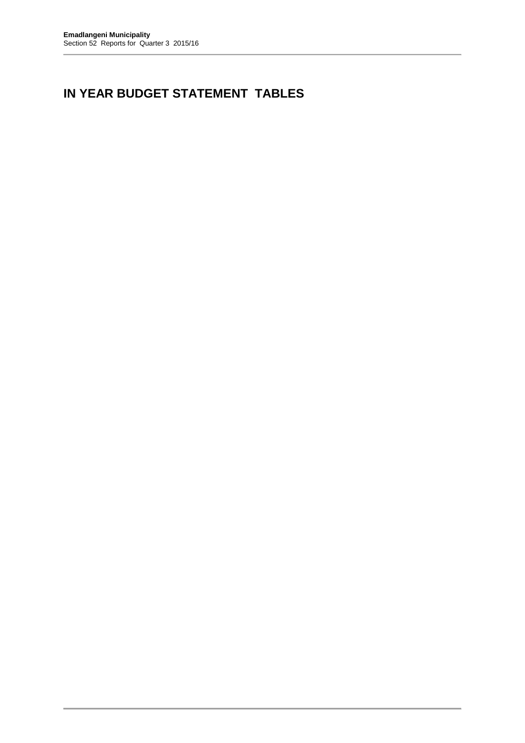# **IN YEAR BUDGET STATEMENT TABLES**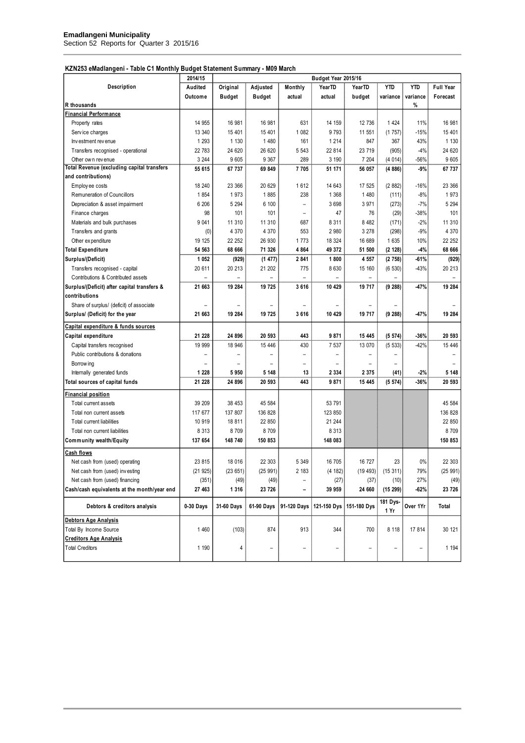#### **KZN253 eMadlangeni - Table C1 Monthly Budget Statement Summary - M09 March**

|                                                   | <b>HILL HILL</b><br>Budget Year 2015/16 |               |                          |                          |                          |                   |                          |                          |                  |
|---------------------------------------------------|-----------------------------------------|---------------|--------------------------|--------------------------|--------------------------|-------------------|--------------------------|--------------------------|------------------|
| Description                                       | 2014/15<br>Audited                      | Original      | Adjusted                 | Monthly                  | YearTD                   | YearTD            | <b>YTD</b>               | <b>YTD</b>               | <b>Full Year</b> |
|                                                   | Outcome                                 | <b>Budget</b> | <b>Budget</b>            | actual                   | actual                   | budget            | variance                 | variance                 | Forecast         |
| R thousands                                       |                                         |               |                          |                          |                          |                   |                          | %                        |                  |
| <b>Financial Performance</b>                      |                                         |               |                          |                          |                          |                   |                          |                          |                  |
| Property rates                                    | 14 955                                  | 16 981        | 16 981                   | 631                      | 14 159                   | 12 736            | 1424                     | 11%                      | 16 981           |
| Service charges                                   | 13 340                                  | 15 401        | 15 401                   | 1 0 8 2                  | 9 7 9 3                  | 11 551            | (1757)                   | $-15%$                   | 15 401           |
| Investment revenue                                | 1 2 9 3                                 | 1 1 3 0       | 1 4 8 0                  | 161                      | 1 2 1 4                  | 847               | 367                      | 43%                      | 1 1 3 0          |
| Transfers recognised - operational                | 22 783                                  | 24 620        | 26 620                   | 5 5 4 3                  | 22 814                   | 23 719            | (905)                    | $-4%$                    | 24 620           |
| Other own revenue                                 | 3 2 4 4                                 | 9 6 0 5       | 9 3 6 7                  | 289                      | 3 190                    | 7 204             | (4014)                   | $-56%$                   | 9 6 0 5          |
| <b>Total Revenue (excluding capital transfers</b> | 55 615                                  | 67 737        | 69 849                   | 7705                     | 51 171                   | 56 057            | (4886)                   | -9%                      | 67 737           |
| and contributions)                                |                                         |               |                          |                          |                          |                   |                          |                          |                  |
| Employ ee costs                                   | 18 240                                  | 23 366        | 20 629                   | 1612                     | 14 643                   | 17 525            | (2882)                   | $-16%$                   | 23 366           |
| Remuneration of Councillors                       | 1854                                    | 1973          | 1885                     | 238                      | 1 3 6 8                  | 1 4 8 0           | (111)                    | $-8%$                    | 1973             |
| Depreciation & asset impairment                   | 6 20 6                                  | 5 2 9 4       | 6 100                    | $\overline{\phantom{0}}$ | 3 6 9 8                  | 3 9 7 1           | (273)                    | $-7%$                    | 5 2 9 4          |
| Finance charges                                   | 98                                      | 101           | 101                      | $\overline{\phantom{0}}$ | 47                       | 76                | (29)                     | -38%                     | 101              |
| Materials and bulk purchases                      | 9 0 4 1                                 | 11 310        | 11 310                   | 687                      | 8 3 1 1                  | 8 4 8 2           | (171)                    | $-2%$                    | 11 310           |
| Transfers and grants                              | (0)                                     | 4 3 7 0       | 4 3 7 0                  | 553                      | 2 9 8 0                  | 3 2 7 8           | (298)                    | $-9%$                    | 4 3 7 0          |
| Other ex penditure                                | 19 125                                  | 22 252        | 26 930                   | 1773                     | 18 324                   | 16 689            | 1 6 3 5                  | 10%                      | 22 252           |
| <b>Total Expenditure</b>                          | 54 563                                  | 68 666        | 71 326                   | 4864                     | 49 372                   | 51 500            | (2 128)                  | $-4%$                    | 68 666           |
| Surplus/(Deficit)                                 | 1 0 5 2                                 | (929)         | (1477)                   | 2841                     | 1800                     | 4 5 5 7           | (2758)                   | $-61%$                   | (929)            |
| Transfers recognised - capital                    | 20 611                                  | 20 213        | 21 202                   | 775                      | 8 6 3 0                  | 15 160            | (6530)                   | $-43%$                   | 20 213           |
| Contributions & Contributed assets                |                                         |               |                          |                          |                          |                   |                          |                          |                  |
| Surplus/(Deficit) after capital transfers &       | 21 663                                  | 19 284        | 19 725                   | 3616                     | 10 429                   | 19 717            | (9 288)                  | $-47%$                   | 19 284           |
| contributions                                     |                                         |               |                          |                          |                          |                   |                          |                          |                  |
|                                                   |                                         |               |                          |                          |                          |                   |                          |                          |                  |
| Share of surplus/ (deficit) of associate          |                                         |               |                          |                          |                          |                   |                          |                          |                  |
| Surplus/ (Deficit) for the year                   | 21 663                                  | 19 284        | 19 725                   | 3616                     | 10 429                   | 19 717            | (9 288)                  | $-47%$                   | 19 284           |
| Capital expenditure & funds sources               |                                         |               |                          |                          |                          |                   |                          |                          |                  |
| Capital expenditure                               | 21 228                                  | 24 896        | 20 593                   | 443                      | 9871                     | 15 445            | (5574)                   | $-36%$                   | 20 593           |
| Capital transfers recognised                      | 19 999                                  | 18 946        | 15 4 46                  | 430                      | 7 5 3 7                  | 13 070            | (5533)                   | $-42%$                   | 15 446           |
| Public contributions & donations                  |                                         |               | $\overline{\phantom{0}}$ | $\overline{\phantom{0}}$ | $\overline{\phantom{0}}$ |                   | $\overline{\phantom{0}}$ |                          |                  |
| Borrow ing                                        |                                         |               |                          | $\qquad \qquad -$        | $\overline{a}$           |                   | $\qquad \qquad -$        |                          |                  |
| Internally generated funds                        | 1 2 2 8                                 | 5950          | 5 1 4 8                  | 13                       | 2 3 3 4                  | 2 3 7 5           | (41)                     | $-2%$                    | 5 1 4 8          |
| Total sources of capital funds                    | 21 228                                  | 24 896        | 20 593                   | 443                      | 9871                     | 15 445            | (5574)                   | $-36%$                   | 20 593           |
| <b>Financial position</b>                         |                                         |               |                          |                          |                          |                   |                          |                          |                  |
| Total current assets                              | 39 209                                  | 38 453        | 45 584                   |                          | 53 791                   |                   |                          |                          | 45 584           |
| Total non current assets                          | 117 677                                 | 137 807       | 136 828                  |                          | 123 850                  |                   |                          |                          | 136 828          |
| Total current liabilities                         | 10 919                                  | 18811         | 22 850                   |                          | 21 244                   |                   |                          |                          | 22 850           |
| Total non current liabilities                     | 8 3 1 3                                 | 8709          | 8709                     |                          | 8 3 1 3                  |                   |                          |                          | 8709             |
| <b>Community wealth/Equity</b>                    | 137 654                                 | 148 740       | 150 853                  |                          | 148 083                  |                   |                          |                          | 150 853          |
| <b>Cash flows</b>                                 |                                         |               |                          |                          |                          |                   |                          |                          |                  |
| Net cash from (used) operating                    | 23 815                                  | 18 016        | 22 303                   | 5 3 4 9                  | 16 705                   | 16 727            | 23                       | 0%                       | 22 303           |
| Net cash from (used) investing                    | (21925)                                 | (23651)       | (25991)                  | 2 183                    | (4 182)                  | (19 493)          | (15311)                  | 79%                      | (25991)          |
| Net cash from (used) financing                    | (351)                                   | (49)          | (49)                     | $\overline{a}$           | (27)                     | (37)              | (10)                     | 27%                      | (49)             |
| Cash/cash equivalents at the month/year end       | 27 463                                  | 1 3 1 6       | 23 726                   | -                        | 39 959                   | 24 660            | (15299)                  | -62%                     | 23 726           |
|                                                   |                                         |               |                          |                          |                          |                   |                          |                          |                  |
| Debtors & creditors analysis                      | 0-30 Days                               | 31-60 Days    | 61-90 Days               | 91-120 Days              | 121-150 Dys              | 151-180 Dys       | 181 Dys-<br>1 Yr         | Over 1Yr                 | Total            |
| Debtors Age Analysis                              |                                         |               |                          |                          |                          |                   |                          |                          |                  |
| Total By Income Source                            | 1 4 6 0                                 | (103)         | 874                      | 913                      | 344                      | 700               | 8 1 1 8                  | 17814                    | 30 121           |
| <b>Creditors Age Analysis</b>                     |                                         |               |                          |                          |                          |                   |                          |                          |                  |
| <b>Total Creditors</b>                            | 1 1 9 0                                 | 4             | $\overline{\phantom{0}}$ | $\overline{\phantom{0}}$ | $\overline{a}$           | $\qquad \qquad -$ | $\qquad \qquad -$        | $\overline{\phantom{a}}$ | 1 1 9 4          |
|                                                   |                                         |               |                          |                          |                          |                   |                          |                          |                  |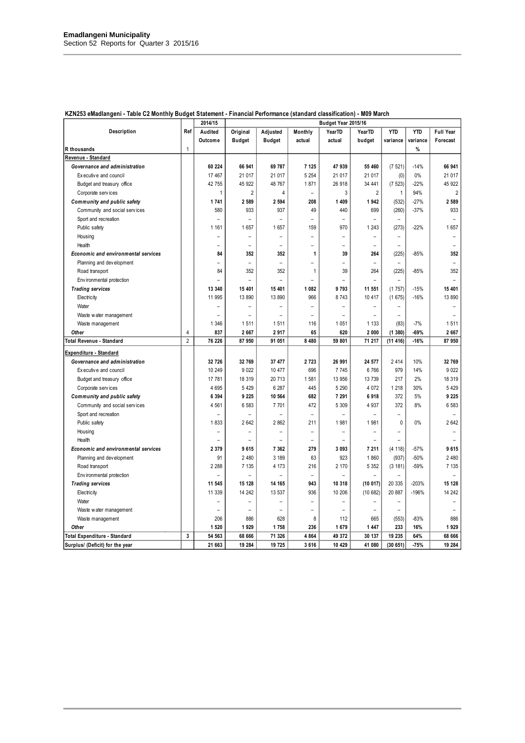|                                     |                | 2014/15                  | Budget Year 2015/16      |                          |                          |                          |                          |                          |            |                          |
|-------------------------------------|----------------|--------------------------|--------------------------|--------------------------|--------------------------|--------------------------|--------------------------|--------------------------|------------|--------------------------|
| Description                         | Ref            | Audited                  | Original                 | Adjusted                 | Monthly                  | <b>YearTD</b>            | YearTD                   | <b>YTD</b>               | <b>YTD</b> | <b>Full Year</b>         |
|                                     |                | Outcome                  | <b>Budget</b>            | <b>Budget</b>            | actual                   | actual                   | budget                   | variance                 | variance   | Forecast                 |
| R thousands                         | $\mathbf{1}$   |                          |                          |                          |                          |                          |                          |                          | %          |                          |
| Revenue - Standard                  |                |                          |                          |                          |                          |                          |                          |                          |            |                          |
| Governance and administration       |                | 60 224                   | 66 941                   | 69 787                   | 7 1 2 5                  | 47 939                   | 55 460                   | (7521)                   | $-14%$     | 66 941                   |
| Executive and council               |                | 17 467                   | 21 017                   | 21 017                   | 5 2 5 4                  | 21 017                   | 21 017                   | (0)                      | 0%         | 21 017                   |
| Budget and treasury office          |                | 42 755                   | 45 922                   | 48 767                   | 1871                     | 26 918                   | 34 441                   | (7523)                   | $-22%$     | 45 922                   |
| Corporate services                  |                | 1                        | $\overline{2}$           | 4                        | $\overline{a}$           | 3                        | $\overline{2}$           | $\mathbf{1}$             | 94%        | $\overline{2}$           |
| Community and public safety         |                | 1741                     | 2 5 8 9                  | 2 5 9 4                  | 208                      | 1 4 0 9                  | 1942                     | (532)                    | $-27%$     | 2 589                    |
| Community and social services       |                | 580                      | 933                      | 937                      | 49                       | 440                      | 699                      | (260)                    | $-37%$     | 933                      |
| Sport and recreation                |                | $\overline{\phantom{0}}$ | ÷                        |                          | $\equiv$                 | $\overline{\phantom{0}}$ | $\equiv$                 |                          |            |                          |
| Public safety                       |                | 1 1 6 1                  | 1657                     | 1657                     | 159                      | 970                      | 1 2 4 3                  | (273)                    | $-22%$     | 1657                     |
| Housing                             |                | Ξ                        |                          |                          |                          | $\overline{\phantom{0}}$ | $\overline{\phantom{0}}$ | $\overline{\phantom{0}}$ |            | $\overline{\phantom{0}}$ |
| Health                              |                | $\overline{a}$           | $\overline{\phantom{0}}$ |                          | $\overline{\phantom{0}}$ | $\overline{\phantom{0}}$ | $\overline{\phantom{a}}$ | $\overline{\phantom{0}}$ |            | $\overline{\phantom{a}}$ |
| Economic and environmental services |                | 84                       | 352                      | 352                      | 1                        | 39                       | 264                      | (225)                    | $-85%$     | 352                      |
| Planning and development            |                | $\overline{a}$           | $\overline{a}$           | $\overline{a}$           | $\overline{a}$           | $\overline{a}$           | $\equiv$                 | $\equiv$                 |            | $\overline{a}$           |
| Road transport                      |                | 84                       | 352                      | 352                      | 1                        | 39                       | 264                      | (225)                    | $-85%$     | 352                      |
| Env ironmental protection           |                |                          | $\overline{a}$           |                          |                          |                          | $\overline{a}$           |                          |            |                          |
| <b>Trading services</b>             |                | 13 340                   | 15 401                   | 15 401                   | 1 0 8 2                  | 9793                     | 11 551                   | (1757)                   | $-15%$     | 15 401                   |
| Electricity                         |                | 11 995                   | 13 890                   | 13 890                   | 966                      | 8743                     | 10 417                   | (1675)                   | $-16%$     | 13 890                   |
| Water                               |                | ÷                        | $\overline{a}$           |                          | $\overline{a}$           | $\overline{a}$           | $\equiv$                 | ÷                        |            |                          |
| Waste water management              |                | $\overline{a}$           | $\overline{a}$           | $\overline{a}$           | $\overline{a}$           | ÷                        | $\overline{a}$           | $\overline{a}$           |            | L.                       |
| Waste management                    |                | 1 3 4 6                  | 1511                     | 1511                     | 116                      | 1 0 5 1                  | 1 1 3 3                  | (83)                     | $-7%$      | 1511                     |
| Other                               | 4              | 837                      | 2 6 6 7                  | 2917                     | 65                       | 620                      | 2 000                    | (1380)                   | $-69%$     | 2 6 6 7                  |
| Total Revenue - Standard            | $\overline{2}$ | 76 226                   | 87 950                   | 91 051                   | 8 4 8 0                  | 59 801                   | 71 217                   | (11416)                  | $-16%$     | 87 950                   |
| Expenditure - Standard              |                |                          |                          |                          |                          |                          |                          |                          |            |                          |
| Governance and administration       |                | 32 7 26                  | 32 769                   | 37477                    | 2723                     | 26 991                   | 24 577                   | 2414                     | 10%        | 32 769                   |
| Executive and council               |                | 10 249                   | 9 0 2 2                  | 10 477                   | 696                      | 7745                     | 6766                     | 979                      | 14%        | 9 0 2 2                  |
| Budget and treasury office          |                | 17 781                   | 18 319                   | 20 713                   | 1581                     | 13 956                   | 13 739                   | 217                      | 2%         | 18 319                   |
| Corporate services                  |                | 4 6 9 5                  | 5 4 2 9                  | 6 287                    | 445                      | 5 2 9 0                  | 4 0 7 2                  | 1 2 1 8                  | 30%        | 5 4 2 9                  |
| Community and public safety         |                | 6 3 9 4                  | 9 2 2 5                  | 10 564                   | 682                      | 7 291                    | 6918                     | 372                      | 5%         | 9 2 2 5                  |
| Community and social services       |                | 4 5 61                   | 6 5 8 3                  | 7701                     | 472                      | 5 3 0 9                  | 4 9 3 7                  | 372                      | 8%         | 6 583                    |
| Sport and recreation                |                |                          |                          |                          |                          |                          | $\overline{\phantom{0}}$ | $\overline{\phantom{0}}$ |            |                          |
| Public safety                       |                | 1833                     | 2 6 4 2                  | 2 8 6 2                  | 211                      | 1981                     | 1981                     | $\theta$                 | 0%         | 2642                     |
| Housing                             |                | $\overline{a}$           | $\equiv$                 | $\equiv$                 | $\overline{\phantom{0}}$ | $\overline{\phantom{0}}$ | $\equiv$                 | $\equiv$                 |            | $\overline{\phantom{0}}$ |
| Health                              |                | $\overline{\phantom{0}}$ | $\overline{\phantom{0}}$ | $\overline{\phantom{0}}$ | $\equiv$                 | $\overline{\phantom{0}}$ | $\equiv$                 | $\overline{\phantom{0}}$ |            | $\overline{\phantom{0}}$ |
| Economic and environmental services |                | 2 3 7 9                  | 9615                     | 7 3 6 2                  | 279                      | 3 0 9 3                  | 7 211                    | (4 118)                  | $-57%$     | 9615                     |
| Planning and development            |                | 91                       | 2 4 8 0                  | 3 189                    | 63                       | 923                      | 1860                     | (937)                    | $-50%$     | 2 4 8 0                  |
| Road transport                      |                | 2 2 8 8                  | 7 1 3 5                  | 4 173                    | 216                      | 2 170                    | 5 3 5 2                  | (3 181)                  | $-59%$     | 7 135                    |
| Env ironmental protection           |                |                          |                          |                          | $\overline{\phantom{0}}$ |                          | $\overline{\phantom{0}}$ |                          |            |                          |
| <b>Trading services</b>             |                | 11 545                   | 15 128                   | 14 165                   | 943                      | 10 318                   | (10017)                  | 20 335                   | $-203%$    | 15 128                   |
| Electricity                         |                | 11 339                   | 14 24 2                  | 13 537                   | 936                      | 10 20 6                  | (10682)                  | 20 887                   | $-196%$    | 14 24 2                  |
| Water                               |                |                          |                          |                          |                          |                          |                          |                          |            |                          |
| Waste water management              |                | $\overline{\phantom{0}}$ | $\overline{\phantom{0}}$ | $\overline{\phantom{0}}$ | $\overline{a}$           | $\overline{a}$           | $\qquad \qquad -$        | $\qquad \qquad -$        |            |                          |
| Waste management                    |                | 206                      | 886                      | 628                      | 8                        | 112                      | 665                      | (553)                    | $-83%$     | 886                      |
| Other                               |                | 1 5 2 0                  | 1929                     | 1758                     | 236                      | 1679                     | 1 4 4 7                  | 233                      | 16%        | 1929                     |
| Total Expenditure - Standard        | 3              | 54 563                   | 68 666                   | 71 326                   | 4 8 6 4                  | 49 372                   | 30 137                   | 19 235                   | 64%        | 68 666                   |
| Surplus/ (Deficit) for the year     |                | 21 663                   | 19 284                   | 19 725                   | 3616                     | 10 429                   | 41 080                   | (30651)                  | $-75%$     | 19 284                   |

### **KZN253 eMadlangeni - Table C2 Monthly Budget Statement - Financial Performance (standard classification) - M09 March**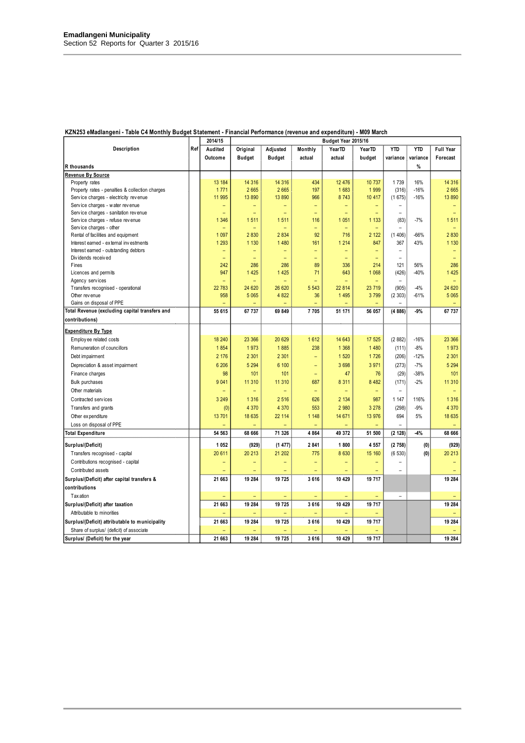|                                                 |     | 2014/15                     | Budget Year 2015/16 |                          |         |                   |                |                                    |                 |                          |
|-------------------------------------------------|-----|-----------------------------|---------------------|--------------------------|---------|-------------------|----------------|------------------------------------|-----------------|--------------------------|
| Description                                     | Ref | Audited                     | Original            | Adjusted                 | Monthly | YearTD            | YearTD         | <b>YTD</b>                         | <b>YTD</b>      | <b>Full Year</b>         |
|                                                 |     | Outcome                     | <b>Budget</b>       | <b>Budget</b>            | actual  | actual            | budget         | variance                           | variance        | Forecast                 |
| R thousands                                     |     |                             |                     |                          |         |                   |                |                                    | %               |                          |
| <b>Revenue By Source</b>                        |     |                             |                     |                          |         |                   |                |                                    |                 |                          |
| Property rates                                  |     | 13 184                      | 14 316              | 14 316                   | 434     | 12 4 76           | 10 737         | 1739                               | 16%             | 14 316                   |
| Property rates - penalties & collection charges |     | 1771                        | 2 6 6 5             | 2 6 6 5                  | 197     | 1 683             | 1999           | (316)                              | $-16%$          | 2665                     |
| Service charges - electricity revenue           |     | 11 995                      | 13 890              | 13 890                   | 966     | 8743              | 10 417         | (1675)                             | $-16%$          | 13 890                   |
| Service charges - water revenue                 |     | $\equiv$                    | ۳                   | $\overline{\phantom{0}}$ | ÷,      | ÷,                | -              | $\overline{\phantom{a}}$           |                 | $\overline{\phantom{0}}$ |
| Service charges - sanitation revenue            |     | ÷                           | ÷                   | ÷                        | ÷       | ÷                 |                | $\equiv$                           |                 | $\equiv$                 |
| Service charges - refuse revenue                |     | 1 3 4 6                     | 1 5 1 1             | 1511                     | 116     | 1 0 5 1           | 1 1 3 3        | (83)                               | $-7%$           | 1511                     |
| Service charges - other                         |     |                             |                     |                          | Ξ       |                   |                |                                    |                 |                          |
| Rental of facilities and equipment              |     | 1 0 9 7                     | 2 8 3 0             | 2 8 3 4                  | 92      | 716               | 2 1 2 2        | (1406)                             | $-66%$          | 2830                     |
| Interest earned - external investments          |     | 1 2 9 3                     | 1 1 3 0             | 1 4 8 0                  | 161     | 1 2 1 4           | 847            | 367                                | 43%             | 1 1 3 0                  |
| Interest earned - outstanding debtors           |     | -                           |                     |                          | -       | -                 |                | $\overline{\phantom{m}}$           |                 |                          |
| Dividends received                              |     | ÷                           | ۳                   | L,                       | ۳       | ÷                 | $\equiv$       | $\overline{\phantom{a}}$           |                 | $\equiv$                 |
| Fines                                           |     | 242                         | 286                 | 286                      | 89      | 336               | 214            | 121                                | 56%             | 286                      |
| Licences and permits                            |     | 947                         | 1 4 2 5             | 1 4 2 5                  | 71      | 643               | 1 0 6 8        | (426)                              | $-40%$          | 1 4 2 5                  |
| Agency services                                 |     | $\qquad \qquad -$<br>22 783 |                     | ÷                        | ÷       | ۳                 |                | $\overline{\phantom{a}}$           |                 | ÷                        |
| Transfers recognised - operational              |     |                             | 24 620<br>5 0 6 5   | 26 620<br>4 8 22         | 5 5 4 3 | 22 814<br>1 4 9 5 | 23 719<br>3799 | (905)                              | $-4%$<br>$-61%$ | 24 620<br>5 0 6 5        |
| Other revenue<br>Gains on disposal of PPE       |     | 958<br>÷                    |                     |                          | 36      |                   |                | (2303)<br>$\overline{\phantom{a}}$ |                 |                          |
|                                                 |     |                             |                     |                          |         |                   |                |                                    |                 |                          |
| Total Revenue (excluding capital transfers and  |     | 55 615                      | 67 737              | 69 849                   | 7705    | 51 171            | 56 057         | (4886)                             | $-9%$           | 67 737                   |
| contributions)                                  |     |                             |                     |                          |         |                   |                |                                    |                 |                          |
| <b>Expenditure By Type</b>                      |     |                             |                     |                          |         |                   |                |                                    |                 |                          |
| Employ ee related costs                         |     | 18 240                      | 23 366              | 20 629                   | 1612    | 14 643            | 17 525         | (2882)                             | $-16%$          | 23 366                   |
| Remuneration of councillors                     |     | 1854                        | 1973                | 1885                     | 238     | 1 3 6 8           | 1 4 8 0        | (111)                              | $-8%$           | 1973                     |
| Debt impairment                                 |     | 2 1 7 6                     | 2 3 0 1             | 2 3 0 1                  | ÷,      | 1 5 20            | 1726           | (206)                              | $-12%$          | 2 3 0 1                  |
| Depreciation & asset impairment                 |     | 6 20 6                      | 5 2 9 4             | 6 100                    | ۳       | 3698              | 3 9 7 1        | (273)                              | $-7%$           | 5 2 9 4                  |
|                                                 |     | 98                          | 101                 | 101                      |         | 47                | 76             | (29)                               | $-38%$          | 101                      |
| Finance charges                                 |     | 9 0 4 1                     | 11 310              | 11 310                   | 687     | 8 3 1 1           | 8 4 8 2        | (171)                              | $-2%$           | 11 310                   |
| <b>Bulk purchases</b>                           |     |                             |                     |                          |         |                   |                |                                    |                 |                          |
| Other materials                                 |     | Ξ                           | Ξ                   | ÷,                       | ÷,      | ÷,                | ÷              | $\blacksquare$                     |                 | $\equiv$                 |
| Contracted services                             |     | 3 2 4 9                     | 1 3 1 6             | 2 5 1 6                  | 626     | 2 1 3 4           | 987            | 1 1 4 7                            | 116%            | 1 3 1 6                  |
| Transfers and grants                            |     | (0)                         | 4 3 7 0             | 4 3 7 0                  | 553     | 2 9 8 0           | 3 2 7 8        | (298)                              | $-9%$           | 4 370                    |
| Other expenditure                               |     | 13 701                      | 18 635              | 22 114                   | 1 1 4 8 | 14 671            | 13 976         | 694                                | 5%              | 18 635                   |
| Loss on disposal of PPE                         |     |                             |                     | ۳                        | ÷,      |                   |                | $\blacksquare$                     |                 |                          |
| <b>Total Expenditure</b>                        |     | 54 563                      | 68 666              | 71 326                   | 4 8 6 4 | 49 372            | 51 500         | (2 128)                            | $-4%$           | 68 666                   |
| Surplus/(Deficit)                               |     | 1 0 5 2                     | (929)               | (1477)                   | 2841    | 1800              | 4 5 5 7        | (2758)                             | (0)             | (929)                    |
| Transfers recognised - capital                  |     | 20 611                      | 20 213              | 21 202                   | 775     | 8 6 3 0           | 15 160         | (6530)                             | (0)             | 20 213                   |
| Contributions recognised - capital              |     | ÷                           |                     |                          | ÷       | -                 |                | $\equiv$                           |                 |                          |
| Contributed assets                              |     | ÷                           |                     |                          |         |                   |                | ÷                                  |                 |                          |
| Surplus/(Deficit) after capital transfers &     |     | 21 663                      | 19 284              | 19 725                   | 3616    | 10 429            | 19 717         |                                    |                 | 19 284                   |
|                                                 |     |                             |                     |                          |         |                   |                |                                    |                 |                          |
| contributions<br><b>Tax ation</b>               |     |                             |                     |                          |         |                   |                |                                    |                 |                          |
|                                                 |     | ۳                           |                     |                          |         |                   |                | $\equiv$                           |                 |                          |
| Surplus/(Deficit) after taxation                |     | 21 663                      | 19 284              | 19 725                   | 3616    | 10 429            | 19 717         |                                    |                 | 19 284                   |
| Attributable to minorities                      |     |                             |                     |                          |         |                   |                |                                    |                 |                          |
| Surplus/(Deficit) attributable to municipality  |     | 21 663                      | 19 284              | 19 725                   | 3616    | 10 429            | 19 717         |                                    |                 | 19 284                   |
| Share of surplus/ (deficit) of associate        |     |                             |                     |                          |         |                   |                |                                    |                 |                          |
| Surplus/ (Deficit) for the year                 |     | 21 663                      | 19 284              | 19 725                   | 3616    | 10 429            | 19 717         |                                    |                 | 19 284                   |

### **KZN253 eMadlangeni - Table C4 Monthly Budget Statement - Financial Performance (revenue and expenditure) - M09 March**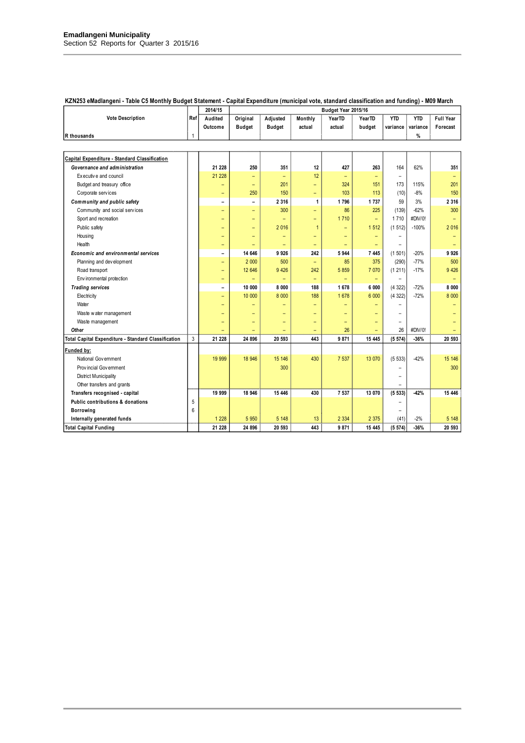|                                                     |     |                          | 2014/15<br>Budget Year 2015/16 |                          |                          |                          |                          |                          |            |                          |
|-----------------------------------------------------|-----|--------------------------|--------------------------------|--------------------------|--------------------------|--------------------------|--------------------------|--------------------------|------------|--------------------------|
| <b>Vote Description</b>                             | Ref | Audited                  | Original                       | Adjusted                 | Monthly                  | YearTD                   | Year <sub>TD</sub>       | <b>YTD</b>               | <b>YTD</b> | <b>Full Year</b>         |
|                                                     |     | Outcome                  | <b>Budget</b>                  | <b>Budget</b>            | actual                   | actual                   | budget                   | variance                 | variance   | Forecast                 |
| R thousands                                         | 1   |                          |                                |                          |                          |                          |                          |                          | %          |                          |
|                                                     |     |                          |                                |                          |                          |                          |                          |                          |            |                          |
| Capital Expenditure - Standard Classification       |     |                          |                                |                          |                          |                          |                          |                          |            |                          |
| Governance and administration                       |     | 21 228                   | 250                            | 351                      | 12                       | 427                      | 263                      | 164                      | 62%        | 351                      |
| Executive and council                               |     | 21 228                   | $\equiv$                       | $\equiv$                 | 12                       | $\equiv$                 | -                        | $\overline{\phantom{a}}$ |            | $\overline{\phantom{0}}$ |
| Budget and treasury office                          |     | ÷                        | $\equiv$                       | 201                      | $\equiv$                 | 324                      | 151                      | 173                      | 115%       | 201                      |
| Corporate services                                  |     | $\overline{\phantom{0}}$ | 250                            | 150                      | $\qquad \qquad -$        | 103                      | 113                      | (10)                     | $-8%$      | 150                      |
| Community and public safety                         |     | $\overline{a}$           | $\overline{\phantom{0}}$       | 2 3 1 6                  | 1                        | 1796                     | 1737                     | 59                       | 3%         | 2 3 1 6                  |
| Community and social services                       |     | $\overline{\phantom{0}}$ | $\overline{\phantom{0}}$       | 300                      | $\equiv$                 | 86                       | 225                      | (139)                    | $-62%$     | 300                      |
| Sport and recreation                                |     | $\qquad \qquad -$        | $\qquad \qquad -$              | $\equiv$                 | $\equiv$                 | 1710                     | $\equiv$                 | 1710                     | #DIV/0!    |                          |
| Public safety                                       |     | $\overline{\phantom{0}}$ | -                              | 2 0 16                   | $\mathbf{1}$             | $\qquad \qquad -$        | 1512                     | (1512)                   | $-100%$    | 2016                     |
| Housing                                             |     | ۳                        | ۳                              | $\equiv$                 | ÷                        | $\equiv$                 | $\overline{\phantom{0}}$ | $\overline{\phantom{0}}$ |            | $\equiv$                 |
| Health                                              |     | -                        |                                | $\overline{\phantom{0}}$ | $\overline{\phantom{m}}$ | $\qquad \qquad -$        | ۳                        | $\overline{\phantom{0}}$ |            |                          |
| <b>Economic and environmental services</b>          |     | $\overline{\phantom{0}}$ | 14 646                         | 9926                     | 242                      | 5944                     | 7 4 4 5                  | (1501)                   | $-20%$     | 9926                     |
| Planning and development                            |     | ÷                        | 2 0 0 0                        | 500                      | $\equiv$                 | 85                       | 375                      | (290)                    | $-77%$     | 500                      |
| Road transport                                      |     | $\overline{\phantom{0}}$ | 12 646                         | 9 4 26                   | 242                      | 5859                     | 7 0 7 0                  | (1 211)                  | $-17%$     | 9 4 26                   |
| Env ironmental protection                           |     | -                        |                                |                          | $\equiv$                 |                          | ۳                        |                          |            |                          |
| <b>Trading services</b>                             |     | $\overline{\phantom{0}}$ | 10 000                         | 8 0 0 0                  | 188                      | 1678                     | 6 000                    | (4322)                   | $-72%$     | 8 0 0 0                  |
| Electricity                                         |     | ۳                        | 10 000                         | 8 0 0 0                  | 188                      | 1678                     | 6 0 0 0                  | (4322)                   | $-72%$     | 8 0 0 0                  |
| Water                                               |     | ÷                        | ÷                              | ÷                        | $\overline{\phantom{0}}$ | ÷                        |                          | ▃                        |            |                          |
| Waste water management                              |     |                          |                                |                          | ۳                        |                          |                          | ▃                        |            |                          |
| Waste management                                    |     | $\overline{\phantom{0}}$ | $\overline{\phantom{0}}$       | $\equiv$                 | $\overline{\phantom{0}}$ | $\overline{\phantom{0}}$ | ۳                        | -                        |            |                          |
| Other                                               |     |                          |                                |                          | $\equiv$                 | 26                       |                          | 26                       | #DIV/0!    |                          |
| Total Capital Expenditure - Standard Classification | 3   | 21 228                   | 24 896                         | 20 593                   | 443                      | 9871                     | 15 4 45                  | (5574)                   | $-36%$     | 20 593                   |
| Funded by:                                          |     |                          |                                |                          |                          |                          |                          |                          |            |                          |
| National Government                                 |     | 19 999                   | 18 946                         | 15 14 6                  | 430                      | 7 5 3 7                  | 13 0 70                  | (5533)                   | $-42%$     | 15 146                   |
| Prov incial Government                              |     |                          |                                | 300                      |                          |                          |                          | -                        |            | 300                      |
| <b>District Municipality</b>                        |     |                          |                                |                          |                          |                          |                          | $\overline{\phantom{0}}$ |            |                          |
| Other transfers and grants                          |     |                          |                                |                          |                          |                          |                          |                          |            |                          |
| Transfers recognised - capital                      |     | 19 999                   | 18 946                         | 15 446                   | 430                      | 7 5 3 7                  | 13 070                   | (5533)                   | $-42%$     | 15 4 46                  |
| Public contributions & donations                    | 5   |                          |                                |                          |                          |                          |                          | -                        |            |                          |
| <b>Borrowing</b>                                    | 6   |                          |                                |                          |                          |                          |                          | -                        |            |                          |
| Internally generated funds                          |     | 1 2 2 8                  | 5 9 5 0                        | 5 1 4 8                  | 13                       | 2 3 3 4                  | 2 3 7 5                  | (41)                     | $-2%$      | 5 1 4 8                  |
| <b>Total Capital Funding</b>                        |     | 21 228                   | 24 896                         | 20 593                   | 443                      | 9871                     | 15 445                   | (5574)                   | $-36%$     | 20 593                   |

### **KZN253 eMadlangeni - Table C5 Monthly Budget Statement - Capital Expenditure (municipal vote, standard classification and funding) - M09 March**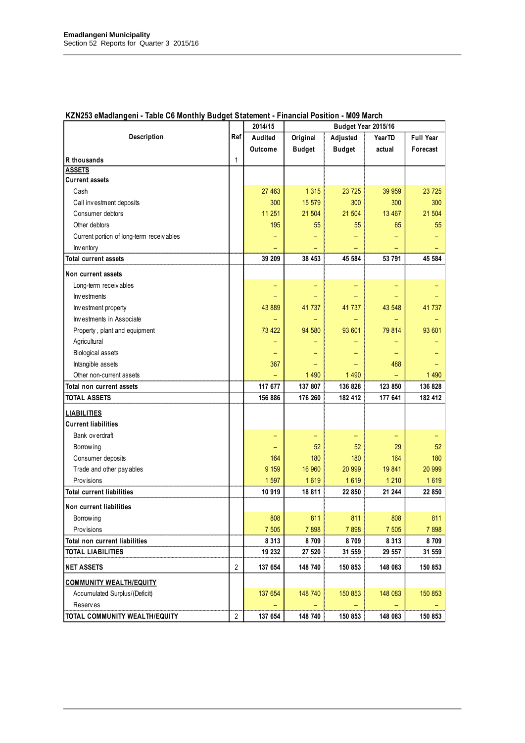|                                                                                                                                                                                                                                                                                                   |                | 2014/15                                                 |                                                     | Budget Year 2015/16                                 |                                                         |                                                     |
|---------------------------------------------------------------------------------------------------------------------------------------------------------------------------------------------------------------------------------------------------------------------------------------------------|----------------|---------------------------------------------------------|-----------------------------------------------------|-----------------------------------------------------|---------------------------------------------------------|-----------------------------------------------------|
| Description                                                                                                                                                                                                                                                                                       | Ref            | Audited                                                 | Original                                            | Adjusted                                            | YearTD                                                  | <b>Full Year</b>                                    |
|                                                                                                                                                                                                                                                                                                   |                | Outcome                                                 | <b>Budget</b>                                       | <b>Budget</b>                                       | actual                                                  | Forecast                                            |
| R thousands                                                                                                                                                                                                                                                                                       | 1              |                                                         |                                                     |                                                     |                                                         |                                                     |
| <b>ASSETS</b>                                                                                                                                                                                                                                                                                     |                |                                                         |                                                     |                                                     |                                                         |                                                     |
| <b>Current assets</b>                                                                                                                                                                                                                                                                             |                |                                                         |                                                     |                                                     |                                                         |                                                     |
| Cash                                                                                                                                                                                                                                                                                              |                | 27 463                                                  | 1 3 1 5                                             | 23 7 25                                             | 39 959                                                  | 23 7 25                                             |
| Call investment deposits                                                                                                                                                                                                                                                                          |                | 300                                                     | 15 579                                              | 300                                                 | 300                                                     | 300                                                 |
| Consumer debtors                                                                                                                                                                                                                                                                                  |                | 11 251                                                  | 21 504                                              | 21 504                                              | 13 4 67                                                 | 21 504                                              |
| Other debtors                                                                                                                                                                                                                                                                                     |                | 195                                                     | 55                                                  | 55                                                  | 65                                                      | 55                                                  |
| Current portion of long-term receiv ables                                                                                                                                                                                                                                                         |                |                                                         |                                                     |                                                     |                                                         |                                                     |
| Inv entory                                                                                                                                                                                                                                                                                        |                |                                                         |                                                     |                                                     |                                                         |                                                     |
| <b>Total current assets</b>                                                                                                                                                                                                                                                                       |                | 39 209                                                  | 38 453                                              | 45 584                                              | 53 791                                                  | 45 584                                              |
| Non current assets                                                                                                                                                                                                                                                                                |                |                                                         |                                                     |                                                     |                                                         |                                                     |
| Long-term receivables                                                                                                                                                                                                                                                                             |                |                                                         |                                                     |                                                     |                                                         |                                                     |
| Investments                                                                                                                                                                                                                                                                                       |                |                                                         |                                                     |                                                     |                                                         |                                                     |
| Investment property                                                                                                                                                                                                                                                                               |                | 43 889                                                  | 41 737                                              | 41 737                                              | 43 548                                                  | 41 737                                              |
| Investments in Associate                                                                                                                                                                                                                                                                          |                |                                                         |                                                     |                                                     |                                                         |                                                     |
| Property, plant and equipment                                                                                                                                                                                                                                                                     |                | 73 422                                                  | 94 580                                              | 93 601                                              | 79 814                                                  | 93 601                                              |
| Agricultural                                                                                                                                                                                                                                                                                      |                |                                                         |                                                     |                                                     |                                                         |                                                     |
| <b>Biological assets</b>                                                                                                                                                                                                                                                                          |                |                                                         |                                                     |                                                     |                                                         |                                                     |
| Intangible assets                                                                                                                                                                                                                                                                                 |                | 367                                                     |                                                     |                                                     | 488                                                     |                                                     |
| Other non-current assets                                                                                                                                                                                                                                                                          |                |                                                         | 1 4 9 0                                             | 1 4 9 0                                             |                                                         | 1 4 9 0                                             |
| Total non current assets                                                                                                                                                                                                                                                                          |                | 117 677                                                 | 137 807                                             | 136 828                                             | 123 850                                                 | 136 828                                             |
| <b>TOTAL ASSETS</b>                                                                                                                                                                                                                                                                               |                | 156 886                                                 | 176 260                                             | 182 412                                             | 177 641                                                 | 182 412                                             |
| <b>LIABILITIES</b>                                                                                                                                                                                                                                                                                |                |                                                         |                                                     |                                                     |                                                         |                                                     |
| <b>Current liabilities</b>                                                                                                                                                                                                                                                                        |                |                                                         |                                                     |                                                     |                                                         |                                                     |
| Bank ov erdraft                                                                                                                                                                                                                                                                                   |                |                                                         |                                                     |                                                     |                                                         |                                                     |
|                                                                                                                                                                                                                                                                                                   |                |                                                         | 52                                                  | 52                                                  | 29                                                      | 52                                                  |
|                                                                                                                                                                                                                                                                                                   |                | 164                                                     | 180                                                 | 180                                                 | 164                                                     | 180                                                 |
|                                                                                                                                                                                                                                                                                                   |                | 9 1 5 9                                                 | 16 960                                              | 20 999                                              | 19841                                                   | 20 999                                              |
| Prov isions                                                                                                                                                                                                                                                                                       |                | 1 5 9 7                                                 | 1619                                                | 1619                                                | 1 2 1 0                                                 | 1619                                                |
| <b>Total current liabilities</b>                                                                                                                                                                                                                                                                  |                | 10 919                                                  | 18 811                                              | 22 850                                              | 21 244                                                  | 22 850                                              |
|                                                                                                                                                                                                                                                                                                   |                |                                                         |                                                     |                                                     |                                                         |                                                     |
|                                                                                                                                                                                                                                                                                                   |                |                                                         |                                                     |                                                     |                                                         |                                                     |
|                                                                                                                                                                                                                                                                                                   |                |                                                         |                                                     |                                                     |                                                         |                                                     |
|                                                                                                                                                                                                                                                                                                   |                |                                                         |                                                     |                                                     |                                                         |                                                     |
|                                                                                                                                                                                                                                                                                                   |                |                                                         |                                                     |                                                     |                                                         |                                                     |
| <b>NET ASSETS</b>                                                                                                                                                                                                                                                                                 | $\overline{2}$ | 137 654                                                 | 148 740                                             | 150 853                                             | 148 083                                                 | 150 853                                             |
|                                                                                                                                                                                                                                                                                                   |                |                                                         |                                                     |                                                     |                                                         |                                                     |
|                                                                                                                                                                                                                                                                                                   |                |                                                         |                                                     |                                                     |                                                         |                                                     |
|                                                                                                                                                                                                                                                                                                   |                |                                                         |                                                     |                                                     |                                                         |                                                     |
|                                                                                                                                                                                                                                                                                                   |                |                                                         |                                                     |                                                     |                                                         |                                                     |
| Borrow ing<br>Consumer deposits<br>Trade and other pay ables<br>Non current liabilities<br>Borrow ing<br>Prov isions<br>Total non current liabilities<br><b>TOTAL LIABILITIES</b><br><b>COMMUNITY WEALTH/EQUITY</b><br>Accumulated Surplus/(Deficit)<br>Reserves<br>TOTAL COMMUNITY WEALTH/EQUITY | $\overline{2}$ | 808<br>7 505<br>8 3 1 3<br>19 232<br>137 654<br>137 654 | 811<br>7898<br>8709<br>27 520<br>148 740<br>148 740 | 811<br>7898<br>8709<br>31 559<br>150 853<br>150 853 | 808<br>7 505<br>8 3 1 3<br>29 557<br>148 083<br>148 083 | 811<br>7898<br>8709<br>31 559<br>150 853<br>150 853 |

### **KZN253 eMadlangeni - Table C6 Monthly Budget Statement - Financial Position - M09 March**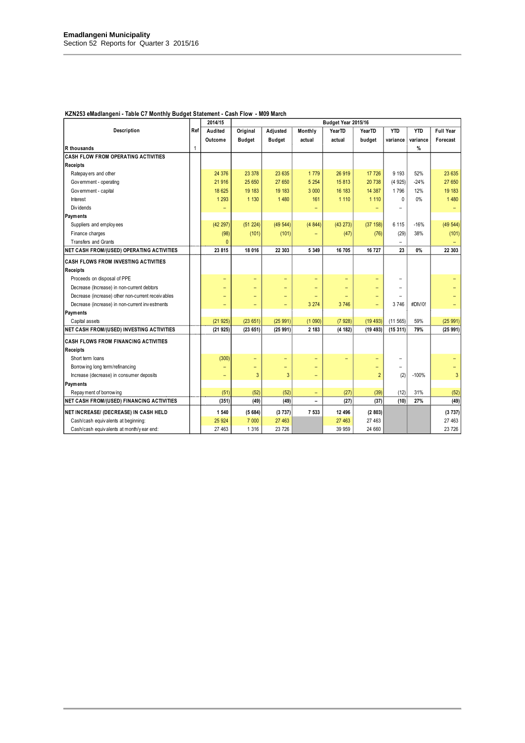|                                                   |              | 2014/15                  | Budget Year 2015/16      |                          |                          |          |                          |              |            |                  |
|---------------------------------------------------|--------------|--------------------------|--------------------------|--------------------------|--------------------------|----------|--------------------------|--------------|------------|------------------|
| Description                                       | Ref          | Audited                  | Original                 | Adjusted                 | Monthly                  | YearTD   | YearTD                   | <b>YTD</b>   | <b>YTD</b> | <b>Full Year</b> |
|                                                   |              | Outcome                  | <b>Budget</b>            | <b>Budget</b>            | actual                   | actual   | budget                   | variance     | variance   | Forecast         |
| R thousands                                       | $\mathbf{1}$ |                          |                          |                          |                          |          |                          |              | $\%$       |                  |
| <b>CASH FLOW FROM OPERATING ACTIVITIES</b>        |              |                          |                          |                          |                          |          |                          |              |            |                  |
| <b>Receipts</b>                                   |              |                          |                          |                          |                          |          |                          |              |            |                  |
| Ratepay ers and other                             |              | 24 376                   | 23 378                   | 23 635                   | 1779                     | 26 919   | 17 726                   | 9 1 9 3      | 52%        | 23 635           |
| Government - operating                            |              | 21 916                   | 25 650                   | 27 650                   | 5 2 5 4                  | 15813    | 20 738                   | (4925)       | $-24%$     | 27 650           |
| Government - capital                              |              | 18 625                   | 19 183                   | 19 183                   | 3 0 0 0                  | 16 183   | 14 387                   | 1796         | 12%        | 19 183           |
| Interest                                          |              | 1 2 9 3                  | 1 1 3 0                  | 1 4 8 0                  | 161                      | 1 1 1 0  | 1 1 1 0                  | $\mathbf{0}$ | 0%         | 1 4 8 0          |
| Div idends                                        |              |                          |                          |                          |                          |          |                          |              |            |                  |
| <b>Payments</b>                                   |              |                          |                          |                          |                          |          |                          |              |            |                  |
| Suppliers and employees                           |              | (42 297)                 | (51 224)                 | (49544)                  | (4844)                   | (43 273) | (37 158)                 | 6 1 1 5      | $-16%$     | (49544)          |
| Finance charges                                   |              | (98)                     | (101)                    | (101)                    |                          | (47)     | (76)                     | (29)         | 38%        | (101)            |
| Transfers and Grants                              |              | n                        |                          |                          |                          |          |                          | $\equiv$     |            |                  |
| NET CASH FROM/(USED) OPERATING ACTIVITIES         |              | 23 815                   | 18 016                   | 22 303                   | 5 3 4 9                  | 16 705   | 16 727                   | 23           | 0%         | 22 303           |
| <b>CASH FLOWS FROM INVESTING ACTIVITIES</b>       |              |                          |                          |                          |                          |          |                          |              |            |                  |
| <b>Receipts</b>                                   |              |                          |                          |                          |                          |          |                          |              |            |                  |
| Proceeds on disposal of PPE                       |              | $\overline{\phantom{0}}$ | $\overline{\phantom{0}}$ | $\overline{\phantom{0}}$ | ۳                        |          |                          |              |            |                  |
| Decrease (Increase) in non-current debtors        |              | ۳                        | $\overline{\phantom{0}}$ |                          | ٠                        | ۳        |                          |              |            |                  |
| Decrease (increase) other non-current receivables |              | $\overline{\phantom{0}}$ | $\overline{\phantom{0}}$ | ۳                        | $\overline{\phantom{0}}$ |          | ۳                        |              |            |                  |
| Decrease (increase) in non-current investments    |              | $\qquad \qquad -$        | $\qquad \qquad -$        | ۳                        | 3 2 7 4                  | 3 746    | $\overline{\phantom{0}}$ | 3746         | #DIV/0!    |                  |
| Payments                                          |              |                          |                          |                          |                          |          |                          |              |            |                  |
| Capital assets                                    |              | (21925)                  | (23651)                  | (25991)                  | (1090)                   | (7928)   | (19 493)                 | (11 565)     | 59%        | (25991)          |
| <b>NET CASH FROM/(USED) INVESTING ACTIVITIES</b>  |              | (21925)                  | (23651)                  | (25991)                  | 2 183                    | (4 182)  | (19493)                  | (15311)      | 79%        | (25991)          |
| <b>CASH FLOWS FROM FINANCING ACTIVITIES</b>       |              |                          |                          |                          |                          |          |                          |              |            |                  |
| <b>Receipts</b>                                   |              |                          |                          |                          |                          |          |                          |              |            |                  |
| Short term loans                                  |              | (300)                    | $\qquad \qquad -$        | ۳                        | $\qquad \qquad -$        | ۳        | ۳                        |              |            |                  |
| Borrow ing long term/refinancing                  |              | ۳                        | $\qquad \qquad -$        | -                        |                          |          | -                        |              |            |                  |
| Increase (decrease) in consumer deposits          |              | $\equiv$                 | 3                        | 3                        | ۳                        |          | $\overline{2}$           | (2)          | $-100%$    | 3                |
| Payments                                          |              |                          |                          |                          |                          |          |                          |              |            |                  |
| Repay ment of borrowing                           |              | (51)                     | (52)                     | (52)                     | $\qquad \qquad -$        | (27)     | (39)                     | (12)         | 31%        | (52)             |
| <b>NET CASH FROM/(USED) FINANCING ACTIVITIES</b>  |              | (351)                    | (49)                     | (49)                     | $\overline{\phantom{0}}$ | (27)     | (37)                     | (10)         | 27%        | (49)             |
| NET INCREASE/ (DECREASE) IN CASH HELD             |              | 1 540                    | (5684)                   | (3737)                   | 7 533                    | 12 496   | (2803)                   |              |            | (3737)           |
| Cash/cash equivalents at beginning:               |              | 25 9 24                  | 7 0 0 0                  | 27 463                   |                          | 27 463   | 27 463                   |              |            | 27 463           |
| Cash/cash equivalents at month/year end:          |              | 27 463                   | 1 3 1 6                  | 23 726                   |                          | 39 959   | 24 660                   |              |            | 23 726           |

### **KZN253 eMadlangeni - Table C7 Monthly Budget Statement - Cash Flow - M09 March**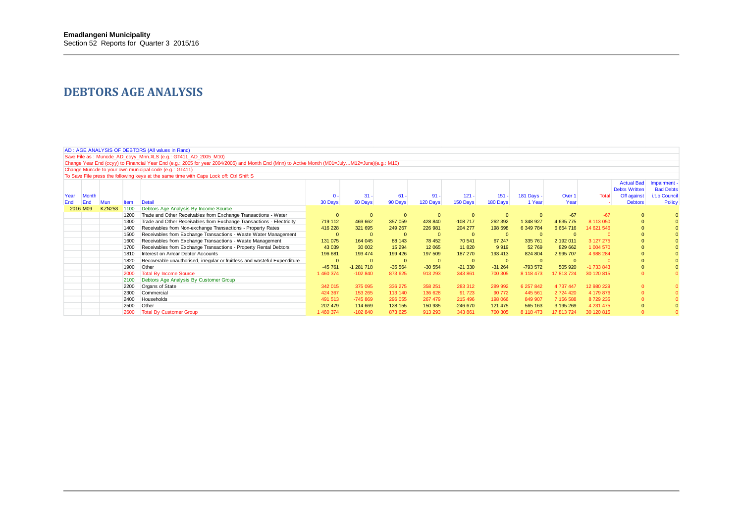### **DEBTORS AGE ANALYSIS**

|      | AD: AGE ANALYSIS OF DEBTORS (All values in Rand)                                                                                                                                             |                      |              |                                                                                                                                                |           |            |          |                         |           |                          |            |               |              |                                           |                  |
|------|----------------------------------------------------------------------------------------------------------------------------------------------------------------------------------------------|----------------------|--------------|------------------------------------------------------------------------------------------------------------------------------------------------|-----------|------------|----------|-------------------------|-----------|--------------------------|------------|---------------|--------------|-------------------------------------------|------------------|
|      |                                                                                                                                                                                              |                      |              |                                                                                                                                                |           |            |          |                         |           |                          |            |               |              |                                           |                  |
|      |                                                                                                                                                                                              |                      |              | Save File as: Muncde AD ccyy Mnn. XLS (e.g.: GT411 AD 2005 M10)                                                                                |           |            |          |                         |           |                          |            |               |              |                                           |                  |
|      |                                                                                                                                                                                              |                      |              | Change Year End (ccyy) to Financial Year End (e.g.: 2005 for year 2004/2005) and Month End (Mnn) to Active Month (M01=JulyM12=June)(e.g.: M10) |           |            |          |                         |           |                          |            |               |              |                                           |                  |
|      |                                                                                                                                                                                              |                      |              | Change Muncde to your own municipal code (e.g.: GT411)                                                                                         |           |            |          |                         |           |                          |            |               |              |                                           |                  |
|      |                                                                                                                                                                                              |                      |              | To Save File press the following keys at the same time with Caps Lock off: Ctrl Shift S                                                        |           |            |          |                         |           |                          |            |               |              |                                           |                  |
|      |                                                                                                                                                                                              |                      |              |                                                                                                                                                |           |            |          |                         |           |                          |            |               |              | <b>Actual Bad</b><br><b>Debts Written</b> | Impairment       |
| Year | <b>Month</b>                                                                                                                                                                                 |                      |              |                                                                                                                                                |           | $31 -$     | $61 -$   | $91 -$                  | $121 -$   | $151 -$                  |            | Over 1        | <b>Total</b> |                                           | <b>Bad Debts</b> |
| End  | End                                                                                                                                                                                          |                      |              | Detail                                                                                                                                         | $0 -$     |            |          | 120 Days                |           |                          | 181 Days - | Year          |              | Off against<br><b>Debtors</b>             | i.t.o Council    |
|      | 2016 M09                                                                                                                                                                                     | Mun<br><b>KZN253</b> | ltem<br>1100 | Debtors Age Analysis By Income Source                                                                                                          | 30 Days   | 60 Days    | 90 Days  |                         | 150 Days  | 180 Days                 | 1 Year     |               |              |                                           | <b>Policy</b>    |
|      | Trade and Other Receivables from Exchange Transactions - Water<br>$-67$<br>$-67$<br>1200<br>$\Omega$<br>$\mathbf{0}$<br>$\mathbf{0}$<br>$\mathbf{0}$<br>$\Omega$<br>$\Omega$<br>$\mathbf{0}$ |                      |              |                                                                                                                                                |           |            |          |                         |           |                          |            |               |              |                                           |                  |
|      |                                                                                                                                                                                              |                      | 1300         | Trade and Other Receivables from Exchange Transactions - Electricity                                                                           | 719 112   | 469 662    | 357 059  | 428 840                 | $-108717$ | 262 392                  | 1348927    | 4 635 775     | 8 113 050    | $\mathbf{0}$                              |                  |
|      |                                                                                                                                                                                              |                      | 1400         | Receivables from Non-exchange Transactions - Property Rates                                                                                    | 416 228   | 321 695    | 249 267  | 226 981                 | 204 277   | 198 598                  | 6 349 784  | 6 6 5 4 7 1 6 | 14 621 546   |                                           |                  |
|      |                                                                                                                                                                                              |                      | 1500         | Receivables from Exchange Transactions - Waste Water Management                                                                                | $\Omega$  | $\Omega$   |          | $\mathbf 0$             |           | $\mathbf{0}$             |            |               |              |                                           |                  |
|      |                                                                                                                                                                                              |                      | 1600         | Receivables from Exchange Transactions - Waste Management                                                                                      | 131 075   | 164 045    | 88 143   | 78 452                  | 70 541    | 67 247                   | 335 761    | 2 192 011     | 3 127 275    |                                           |                  |
|      |                                                                                                                                                                                              |                      | 1700         | Receivables from Exchange Transactions - Property Rental Debtors                                                                               | 43 039    | 30 002     | 15 2 94  | 12 0 65                 | 11 820    | 9919                     | 52 769     | 829 662       | 1 004 570    |                                           |                  |
|      |                                                                                                                                                                                              |                      | 1810         | Interest on Arrear Debtor Accounts                                                                                                             | 196 681   | 193 474    | 199 426  | 197 509                 | 187 270   | 193 413                  | 824 804    | 2 995 707     | 4 988 284    |                                           |                  |
|      |                                                                                                                                                                                              |                      | 1820         | Recoverable unauthorised, irregular or fruitless and wasteful Expenditure                                                                      | $\Omega$  | $\Omega$   |          |                         | $\Omega$  |                          |            |               |              |                                           |                  |
|      |                                                                                                                                                                                              |                      | 1900         | Other                                                                                                                                          | $-45761$  | $-1281718$ | $-35564$ | $\mathbf 0$<br>$-30554$ | $-21330$  | $\mathbf{0}$<br>$-31264$ | -793 572   | 505 920       | $-1733843$   |                                           |                  |
|      |                                                                                                                                                                                              |                      | 2000         | <b>Total By Income Source</b>                                                                                                                  | 1 460 374 | $-102840$  | 873 625  | 913 293                 | 343 861   | 700 305                  | 8 118 473  | 17 813 724    | 30 120 815   | $\Omega$                                  |                  |
|      |                                                                                                                                                                                              |                      | 2100         | Debtors Age Analysis By Customer Group                                                                                                         |           |            |          |                         |           |                          |            |               |              |                                           |                  |
|      |                                                                                                                                                                                              |                      | 2200         | Organs of State                                                                                                                                | 342 015   | 375 095    | 336 275  | 358 251                 | 283 312   | 289 992                  | 6 257 842  | 4 737 447     | 12 980 229   | $\Omega$                                  |                  |
|      |                                                                                                                                                                                              |                      | 2300         | Commercial                                                                                                                                     | 424 367   | 153 265    | 113 140  | 136 628                 | 91 723    | 90 772                   | 445 561    | 2 724 420     | 4 179 876    | $\Omega$                                  |                  |
|      |                                                                                                                                                                                              |                      | 2400         | Households                                                                                                                                     | 491 513   | $-745869$  | 296 055  | 267 479                 | 215 496   | 198 066                  | 849 907    | 7 156 588     | 8729235      |                                           |                  |
|      |                                                                                                                                                                                              |                      | 2500         | Other                                                                                                                                          | 202 479   | 114 669    | 128 155  | 150 935                 | $-246670$ | 121 475                  | 565 163    | 3 195 269     | 4 231 475    |                                           |                  |
|      |                                                                                                                                                                                              |                      | 2600         | <b>Total By Customer Group</b>                                                                                                                 | 1 460 374 | $-102840$  | 873 625  | 913 293                 | 343 861   | 700 305                  | 8 118 473  | 17 813 724    | 30 120 815   |                                           |                  |
|      |                                                                                                                                                                                              |                      |              |                                                                                                                                                |           |            |          |                         |           |                          |            |               |              |                                           |                  |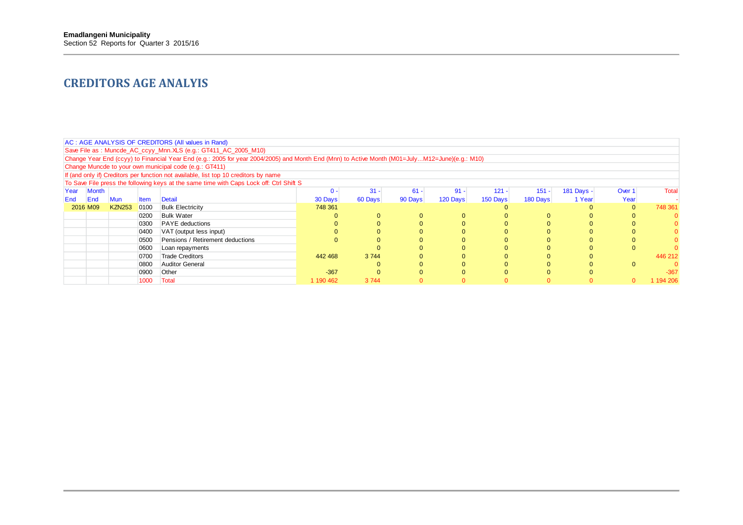### **CREDITORS AGE ANALYIS**

|      | AC: AGE ANALYSIS OF CREDITORS (All values in Rand)                                      |               |             |                                                                                                                                                |           |          |         |          |          |          |            |          |              |  |
|------|-----------------------------------------------------------------------------------------|---------------|-------------|------------------------------------------------------------------------------------------------------------------------------------------------|-----------|----------|---------|----------|----------|----------|------------|----------|--------------|--|
|      |                                                                                         |               |             | Save File as: Muncde_AC_ccyy_Mnn.XLS (e.g.: GT411_AC_2005_M10)                                                                                 |           |          |         |          |          |          |            |          |              |  |
|      |                                                                                         |               |             | Change Year End (ccyy) to Financial Year End (e.g.: 2005 for year 2004/2005) and Month End (Mnn) to Active Month (M01=JulyM12=June)(e.g.: M10) |           |          |         |          |          |          |            |          |              |  |
|      |                                                                                         |               |             | Change Muncde to your own municipal code (e.g.: GT411)                                                                                         |           |          |         |          |          |          |            |          |              |  |
|      | If (and only if) Creditors per function not available, list top 10 creditors by name    |               |             |                                                                                                                                                |           |          |         |          |          |          |            |          |              |  |
|      | To Save File press the following keys at the same time with Caps Lock off: Ctrl Shift S |               |             |                                                                                                                                                |           |          |         |          |          |          |            |          |              |  |
| Year | Month                                                                                   |               |             |                                                                                                                                                | $0 -$     | $31 -$   | $61 -$  | $91 -$   | $121 -$  | $151 -$  | 181 Days - | Over 1   | <b>Total</b> |  |
| End  | End                                                                                     | Mun           | <b>Item</b> | Detail                                                                                                                                         | 30 Days   | 60 Days  | 90 Days | 120 Days | 150 Days | 180 Days | 1 Year     | Year     |              |  |
|      | 2016 M09                                                                                | <b>KZN253</b> | 0100        | <b>Bulk Electricity</b>                                                                                                                        | 748 361   |          |         |          |          |          |            | $\Omega$ | 748 361      |  |
|      |                                                                                         |               | 0200        | <b>Bulk Water</b>                                                                                                                              |           | 0        |         |          |          | $\Omega$ |            |          |              |  |
|      |                                                                                         |               | 0300        | <b>PAYE</b> deductions                                                                                                                         |           |          |         |          |          | 0        |            |          |              |  |
|      |                                                                                         |               | 0400        | VAT (output less input)                                                                                                                        |           | 0        |         |          |          | 0        |            |          |              |  |
|      |                                                                                         |               | 0500        | Pensions / Retirement deductions                                                                                                               |           |          |         |          |          | 0        |            |          |              |  |
|      |                                                                                         |               | 0600        | Loan repayments                                                                                                                                |           |          |         |          |          | 0        |            |          |              |  |
|      |                                                                                         |               | 0700        | <b>Trade Creditors</b>                                                                                                                         | 442 468   | 3744     |         |          |          | 0        |            |          | 446 212      |  |
|      |                                                                                         |               | 0800        | Auditor General                                                                                                                                |           | $\Omega$ |         |          |          | 0        |            |          |              |  |
|      |                                                                                         |               | 0900        | Other                                                                                                                                          | $-367$    | $\Omega$ |         |          |          | 0        |            |          | $-367$       |  |
|      |                                                                                         |               | 1000        | Total                                                                                                                                          | 1 190 462 | 3744     |         |          |          |          |            |          | 194 206      |  |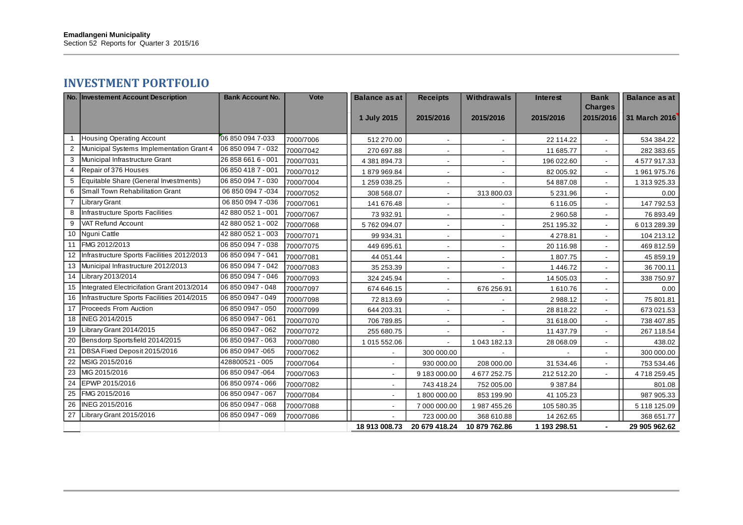### **INVESTMENT PORTFOLIO**

|                | No. Investement Account Description           | <b>Bank Account No.</b> | Vote      | <b>Balance as at</b> | <b>Receipts</b>          | <b>Withdrawals</b>       | <b>Interest</b> | <b>Bank</b>                 | <b>Balance as at</b> |
|----------------|-----------------------------------------------|-------------------------|-----------|----------------------|--------------------------|--------------------------|-----------------|-----------------------------|----------------------|
|                |                                               |                         |           | 1 July 2015          | 2015/2016                | 2015/2016                | 2015/2016       | <b>Charges</b><br>2015/2016 | 31 March 2016        |
|                |                                               |                         |           |                      |                          |                          |                 |                             |                      |
|                | <b>Housing Operating Account</b>              | 06 850 094 7-033        | 7000/7006 | 512 270.00           | $\sim$                   | $\overline{\phantom{a}}$ | 22 114.22       | $\overline{\phantom{a}}$    | 534 384.22           |
| 2              | Municipal Systems Implementation Grant 4      | 06 850 094 7 - 032      | 7000/7042 | 270 697.88           |                          |                          | 11 685.77       |                             | 282 383.65           |
| 3              | Municipal Infrastructure Grant                | 26 858 661 6 - 001      | 7000/7031 | 4 381 894.73         | $\overline{\phantom{a}}$ |                          | 196 022.60      |                             | 4577917.33           |
| 4              | Repair of 376 Houses                          | 06 850 418 7 - 001      | 7000/7012 | 1879969.84           | $\overline{\phantom{a}}$ |                          | 82 005.92       |                             | 1961975.76           |
| 5              | Equitable Share (General Investments)         | 06 850 094 7 - 030      | 7000/7004 | 1 259 038.25         |                          |                          | 54 887.08       |                             | 1 313 925.33         |
| 6              | Small Town Rehabilitation Grant               | 06 850 094 7 -034       | 7000/7052 | 308 568.07           |                          | 313800.03                | 5 2 3 1 . 9 6   |                             | 0.00                 |
| $\overline{7}$ | <b>Library Grant</b>                          | 06 850 094 7 -036       | 7000/7061 | 141 676.48           | ÷,                       |                          | 6 116.05        | $\overline{\phantom{a}}$    | 147 792.53           |
| 8              | Infrastructure Sports Facilities              | 42 880 052 1 - 001      | 7000/7067 | 73 932.91            | $\overline{\phantom{a}}$ | $\overline{\phantom{a}}$ | 2 960.58        | $\sim$                      | 76 893.49            |
| 9              | VAT Refund Account                            | 42 880 052 1 - 002      | 7000/7068 | 5762094.07           |                          |                          | 251 195.32      |                             | 6 013 289.39         |
|                | 10 Nguni Cattle                               | 42 880 052 1 - 003      | 7000/7071 | 99 934.31            |                          |                          | 4 278.81        |                             | 104 213.12           |
|                | 11 FMG 2012/2013                              | 06 850 094 7 - 038      | 7000/7075 | 449 695.61           | $\overline{\phantom{a}}$ |                          | 20 116.98       |                             | 469 812.59           |
|                | 12 Infrastructure Sports Facilities 2012/2013 | 06 850 094 7 - 041      | 7000/7081 | 44 051.44            | $\overline{\phantom{a}}$ |                          | 1807.75         |                             | 45 859.19            |
|                | 13 Municipal Infrastructure 2012/2013         | 06 850 094 7 - 042      | 7000/7083 | 35 253.39            | $\overline{\phantom{a}}$ |                          | 1 446.72        |                             | 36 700.11            |
|                | 14 Library 2013/2014                          | 06 850 094 7 - 046      | 7000/7093 | 324 245.94           | $\blacksquare$           |                          | 14 505.03       |                             | 338 750.97           |
|                | 15 Integrated Electricifation Grant 2013/2014 | 06 850 0947 - 048       | 7000/7097 | 674 646.15           | $\overline{\phantom{a}}$ | 676 256.91               | 1610.76         | $\overline{\phantom{a}}$    | 0.00                 |
| 16             | Infrastructure Sports Facilities 2014/2015    | 06 850 0947 - 049       | 7000/7098 | 72 813.69            |                          |                          | 2988.12         |                             | 75 801.81            |
|                | 17 Proceeds From Auction                      | 06 850 0947 - 050       | 7000/7099 | 644 203.31           | ÷,                       |                          | 28 818.22       |                             | 673 021.53           |
|                | 18 INEG 2014/2015                             | 06 850 0947 - 061       | 7000/7070 | 706 789.85           | $\overline{\phantom{a}}$ |                          | 31 618.00       |                             | 738 407.85           |
| 19             | Library Grant 2014/2015                       | 06 850 0947 - 062       | 7000/7072 | 255 680.75           |                          |                          | 11 437.79       |                             | 267 118.54           |
|                | 20 Bensdorp Sportsfield 2014/2015             | 06 850 0947 - 063       | 7000/7080 | 1 015 552.06         |                          | 1043182.13               | 28 068.09       |                             | 438.02               |
| 21             | DBSA Fixed Deposit 2015/2016                  | 06 850 0947 -065        | 7000/7062 |                      | 300 000.00               |                          |                 |                             | 300 000.00           |
|                | 22 MSIG 2015/2016                             | 428800521 - 005         | 7000/7064 |                      | 930 000.00               | 208 000.00               | 31 534.46       |                             | 753 534.46           |
|                | 23 MIG 2015/2016                              | 06 850 0947 -064        | 7000/7063 | $\blacksquare$       | 9 183 000.00             | 4677252.75               | 212 512.20      |                             | 4718259.45           |
| 24             | EPWP 2015/2016                                | 06 850 0974 - 066       | 7000/7082 | $\blacksquare$       | 743 418.24               | 752 005.00               | 9 3 8 7 . 8 4   |                             | 801.08               |
|                | 25 FMG 2015/2016                              | 06 850 0947 - 067       | 7000/7084 | $\blacksquare$       | 1800000.00               | 853 199.90               | 41 105.23       |                             | 987 905.33           |
|                | 26 INEG 2015/2016                             | 06 850 0947 - 068       | 7000/7088 |                      | 7 000 000.00             | 1987 455.26              | 105 580.35      |                             | 5 118 125.09         |
|                | 27 Library Grant 2015/2016                    | 06 850 0947 - 069       | 7000/7086 |                      | 723 000.00               | 368 610.88               | 14 262.65       |                             | 368 651.77           |
|                |                                               |                         |           | 18 913 008.73        | 20 679 418.24            | 10 879 762.86            | 1 193 298.51    |                             | 29 905 962.62        |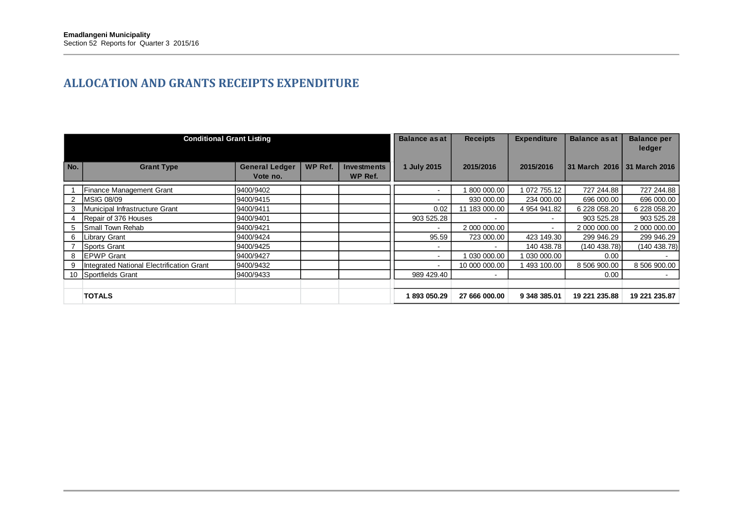### **ALLOCATION AND GRANTS RECEIPTS EXPENDITURE**

|     | <b>Conditional Grant Listing</b>          |                                   |         |                               | <b>Balance as at</b>     | <b>Receipts</b> | <b>Expenditure</b> | <b>Balance as at</b>          | <b>Balance per</b><br>ledger |
|-----|-------------------------------------------|-----------------------------------|---------|-------------------------------|--------------------------|-----------------|--------------------|-------------------------------|------------------------------|
| No. | <b>Grant Type</b>                         | <b>General Ledger</b><br>Vote no. | WP Ref. | <b>Investments</b><br>WP Ref. | 1 July 2015              | 2015/2016       | 2015/2016          | 31 March 2016   31 March 2016 |                              |
|     | Finance Management Grant                  | 9400/9402                         |         |                               |                          | 1800 000.00     | 1 072 755.12       | 727 244.88                    | 727 244.88                   |
|     | <b>MSIG 08/09</b>                         | 9400/9415                         |         |                               |                          | 930 000.00      | 234 000.00         | 696 000.00                    | 696 000.00                   |
|     | Municipal Infrastructure Grant            | 9400/9411                         |         |                               | 0.02                     | 11 183 000.00   | 4 954 941.82       | 6 228 058.20                  | 6 228 058.20                 |
|     | Repair of 376 Houses                      | 9400/9401                         |         |                               | 903 525.28               |                 | $\,$               | 903 525.28                    | 903 525.28                   |
| 5.  | Small Town Rehab                          | 9400/9421                         |         |                               |                          | 2 000 000.00    |                    | 2 000 000.00                  | 2 000 000.00                 |
| 6   | Library Grant                             | 9400/9424                         |         |                               | 95.59                    | 723 000.00      | 423 149.30         | 299 946.29                    | 299 946.29                   |
|     | Sports Grant                              | 9400/9425                         |         |                               |                          | $\blacksquare$  | 140 438.78         | (140438.78)                   | (140438.78)                  |
| 8   | <b>IEPWP Grant</b>                        | 9400/9427                         |         |                               | $\overline{\phantom{0}}$ | 1 030 000.00    | 1 030 000.00       | 0.00                          |                              |
|     | Integrated National Electrification Grant | 9400/9432                         |         |                               | $\sim$                   | 10 000 000.00   | 1 493 100.00       | 8 506 900.00                  | 8 506 900.00                 |
|     | 10 Sportfields Grant                      | 9400/9433                         |         |                               | 989 429.40               | $\blacksquare$  |                    | 0.00                          |                              |
|     |                                           |                                   |         |                               |                          |                 |                    |                               |                              |
|     | <b>TOTALS</b>                             |                                   |         |                               | 893 050.29               | 27 666 000.00   | 9 348 385.01       | 19 221 235.88                 | 19 221 235.87                |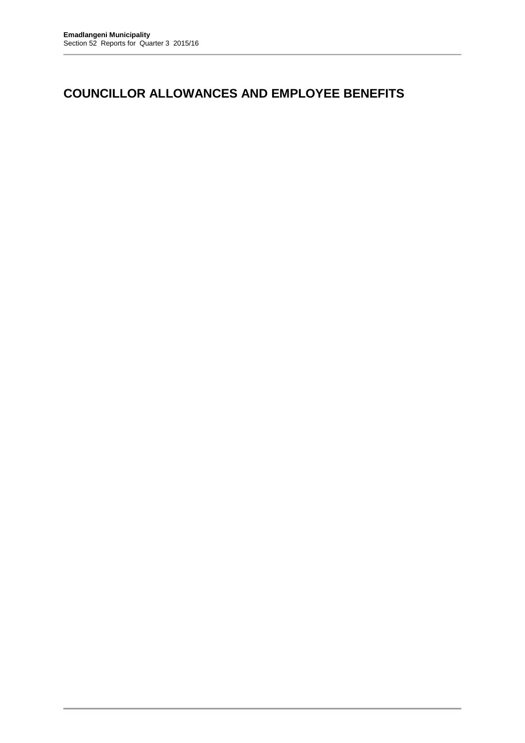## **COUNCILLOR ALLOWANCES AND EMPLOYEE BENEFITS**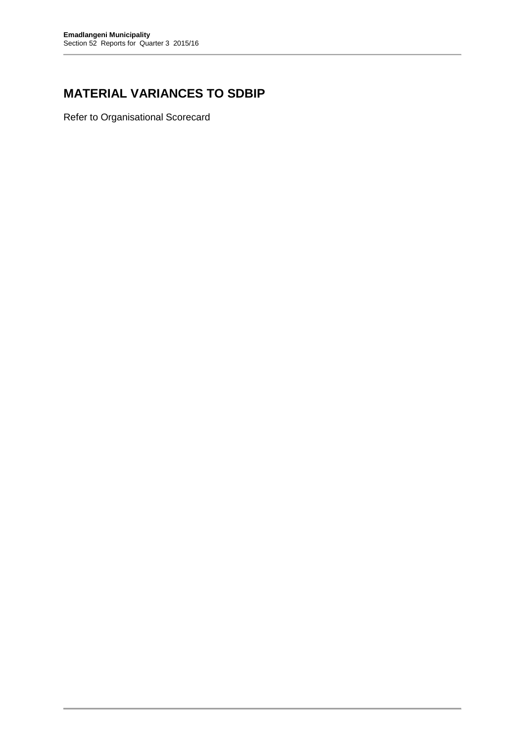# **MATERIAL VARIANCES TO SDBIP**

Refer to Organisational Scorecard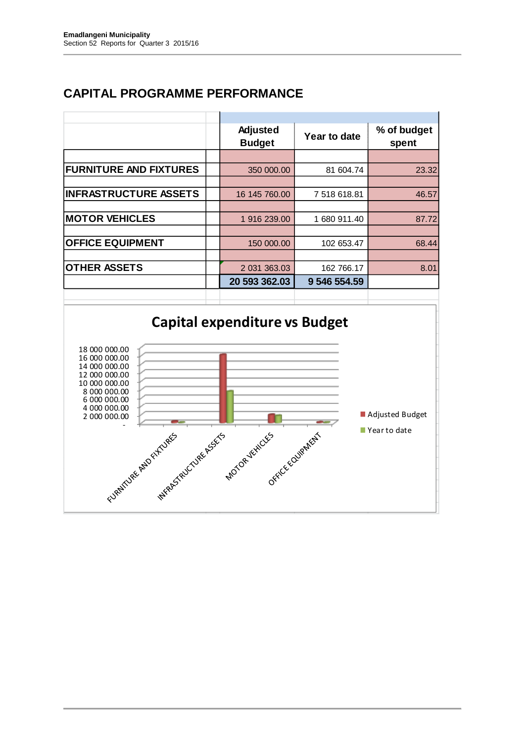# **CAPITAL PROGRAMME PERFORMANCE**

|                               | Adjusted<br><b>Budget</b> | Year to date | % of budget<br>spent |
|-------------------------------|---------------------------|--------------|----------------------|
|                               |                           |              |                      |
| <b>FURNITURE AND FIXTURES</b> | 350 000,00                | 81 604.74    | 23.32                |
|                               |                           |              |                      |
| <b>INFRASTRUCTURE ASSETS</b>  | 16 145 760.00             | 7 518 618.81 | 46.57                |
|                               |                           |              |                      |
| <b>MOTOR VEHICLES</b>         | 1 916 239.00              | 1 680 911.40 | 87.72                |
|                               |                           |              |                      |
| <b>OFFICE EQUIPMENT</b>       | 150 000.00                | 102 653.47   | 68.44                |
|                               |                           |              |                      |
| <b>OTHER ASSETS</b>           | 2 031 363.03              | 162 766.17   | 8.01                 |
|                               | 20 593 362.03             | 9 546 554.59 |                      |
|                               |                           |              |                      |